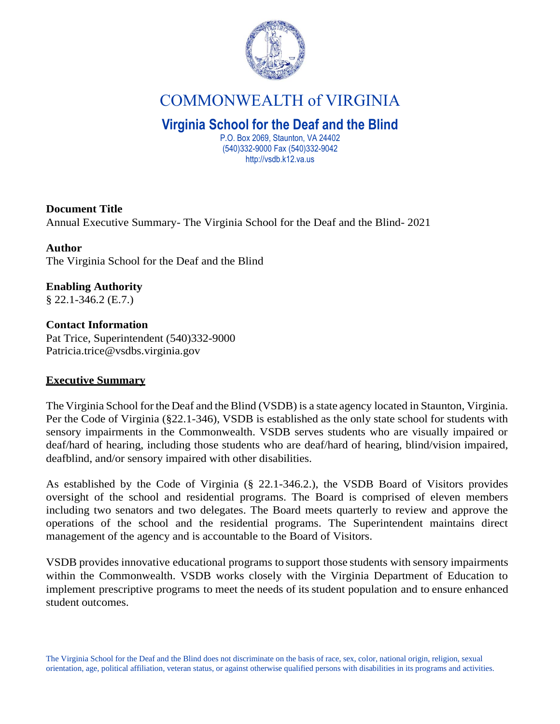

# COMMONWEALTH of VIRGINIA

## **Virginia School for the Deaf and the Blind**

P.O. Box 2069, Staunton, VA 24402 (540)332-9000 Fax (540)332-9042 http://vsdb.k12.va.us

## **Document Title**

Annual Executive Summary- The Virginia School for the Deaf and the Blind- 2021

## **Author**

The Virginia School for the Deaf and the Blind

## **Enabling Authority**

§ 22.1-346.2 (E.7.)

## **Contact Information**  Pat Trice, Superintendent (540)332-9000

[Patricia.](mailto:Patricia.trice@vsdbs.virginia.gov)[trice@vsdbs.virginia.gov](mailto:trice@vsdbs.virginia.gov)

## **Executive Summary**

The Virginia School for the Deaf and the Blind (VSDB) is a state agency located in Staunton, Virginia. Per the Code of Virginia (§22.1-346), VSDB is established as the only state school for students with sensory impairments in the Commonwealth. VSDB serves students who are visually impaired or deaf/hard of hearing, including those students who are deaf/hard of hearing, blind/vision impaired, deafblind, and/or sensory impaired with other disabilities.

As established by the Code of Virginia (§ 22.1-346.2.), the VSDB Board of Visitors provides oversight of the school and residential programs. The Board is comprised of eleven members including two senators and two delegates. The Board meets quarterly to review and approve the operations of the school and the residential programs. The Superintendent maintains direct management of the agency and is accountable to the Board of Visitors.

VSDB provides innovative educational programs to support those students with sensory impairments within the Commonwealth. VSDB works closely with the Virginia Department of Education to implement prescriptive programs to meet the needs of its student population and to ensure enhanced student outcomes.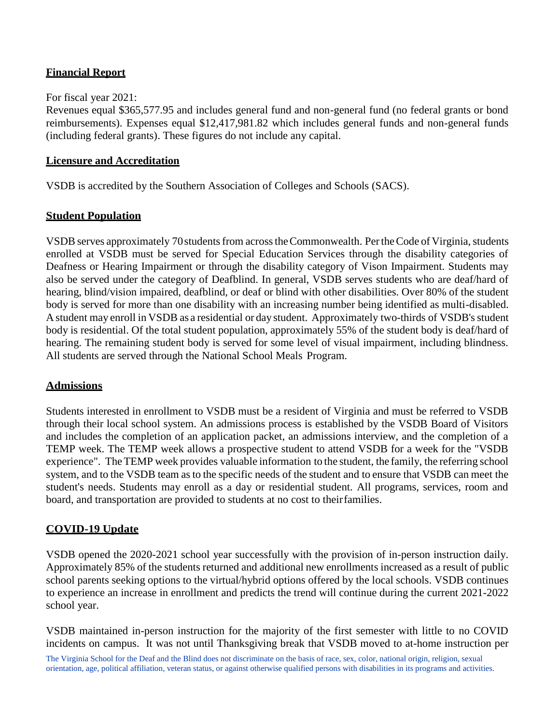## **Financial Report**

#### For fiscal year 2021:

Revenues equal \$365,577.95 and includes general fund and non-general fund (no federal grants or bond reimbursements). Expenses equal \$12,417,981.82 which includes general funds and non-general funds (including federal grants). These figures do not include any capital.

#### **Licensure and Accreditation**

VSDB is accredited by the Southern Association of Colleges and Schools (SACS).

## **Student Population**

VSDB serves approximately 70 students from across the Commonwealth. Per the Code of Virginia, students enrolled at VSDB must be served for Special Education Services through the disability categories of Deafness or Hearing Impairment or through the disability category of Vison Impairment. Students may also be served under the category of Deafblind. In general, VSDB serves students who are deaf/hard of hearing, blind/vision impaired, deafblind, or deaf or blind with other disabilities. Over 80% of the student body is served for more than one disability with an increasing number being identified as multi-disabled. A student may enroll in VSDB as a residential or day student. Approximately two-thirds of VSDB's student body is residential. Of the total student population, approximately 55% of the student body is deaf/hard of hearing. The remaining student body is served for some level of visual impairment, including blindness. All students are served through the National School Meals Program.

#### **Admissions**

Students interested in enrollment to VSDB must be a resident of Virginia and must be referred to VSDB through their local school system. An admissions process is established by the VSDB Board of Visitors and includes the completion of an application packet, an admissions interview, and the completion of a TEMP week. The TEMP week allows a prospective student to attend VSDB for a week for the "VSDB experience". TheTEMP week provides valuable information to the student, the family, the referring school system, and to the VSDB team asto the specific needs of the student and to ensure that VSDB can meet the student's needs. Students may enroll as a day or residential student. All programs, services, room and board, and transportation are provided to students at no cost to theirfamilies.

#### **COVID-19 Update**

VSDB opened the 2020-2021 school year successfully with the provision of in-person instruction daily. Approximately 85% of the students returned and additional new enrollments increased as a result of public school parents seeking options to the virtual/hybrid options offered by the local schools. VSDB continues to experience an increase in enrollment and predicts the trend will continue during the current 2021-2022 school year.

VSDB maintained in-person instruction for the majority of the first semester with little to no COVID incidents on campus. It was not until Thanksgiving break that VSDB moved to at-home instruction per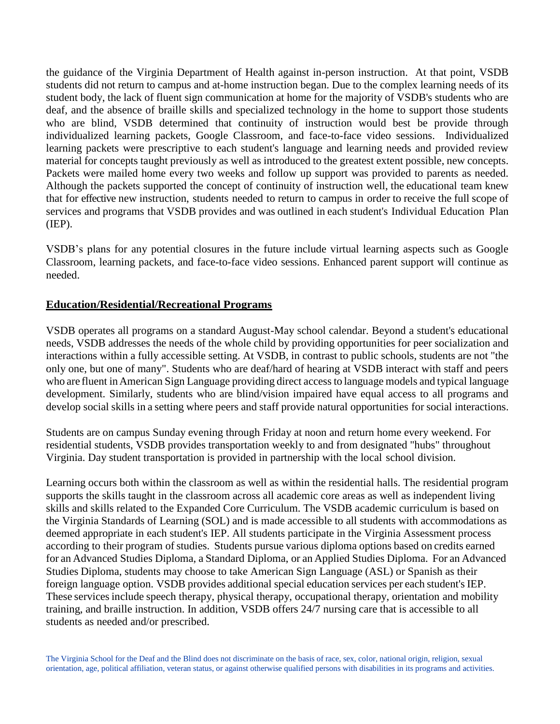the guidance of the Virginia Department of Health against in-person instruction. At that point, VSDB students did not return to campus and at-home instruction began. Due to the complex learning needs of its student body, the lack of fluent sign communication at home for the majority of VSDB's students who are deaf, and the absence of braille skills and specialized technology in the home to support those students who are blind, VSDB determined that continuity of instruction would best be provide through individualized learning packets, Google Classroom, and face-to-face video sessions. Individualized learning packets were prescriptive to each student's language and learning needs and provided review material for concepts taught previously as well as introduced to the greatest extent possible, new concepts. Packets were mailed home every two weeks and follow up support was provided to parents as needed. Although the packets supported the concept of continuity of instruction well, the educational team knew that for effective new instruction, students needed to return to campus in order to receive the full scope of services and programs that VSDB provides and was outlined in each student's Individual Education Plan (IEP).

VSDB's plans for any potential closures in the future include virtual learning aspects such as Google Classroom, learning packets, and face-to-face video sessions. Enhanced parent support will continue as needed.

## **Education/Residential/Recreational Programs**

VSDB operates all programs on a standard August-May school calendar. Beyond a student's educational needs, VSDB addresses the needs of the whole child by providing opportunities for peer socialization and interactions within a fully accessible setting. At VSDB, in contrast to public schools, students are not "the only one, but one of many". Students who are deaf/hard of hearing at VSDB interact with staff and peers who are fluent inAmerican Sign Language providing direct accessto language models and typical language development. Similarly, students who are blind/vision impaired have equal access to all programs and develop social skills in a setting where peers and staff provide natural opportunities for social interactions.

Students are on campus Sunday evening through Friday at noon and return home every weekend. For residential students, VSDB provides transportation weekly to and from designated "hubs" throughout Virginia. Day student transportation is provided in partnership with the local school division.

Learning occurs both within the classroom as well as within the residential halls. The residential program supports the skills taught in the classroom across all academic core areas as well as independent living skills and skills related to the Expanded Core Curriculum. The VSDB academic curriculum is based on the Virginia Standards of Learning (SOL) and is made accessible to all students with accommodations as deemed appropriate in each student's IEP. All students participate in the Virginia Assessment process according to their program of studies. Students pursue various diploma options based on credits earned for an Advanced Studies Diploma, a Standard Diploma, or an Applied Studies Diploma. For an Advanced Studies Diploma, students may choose to take American Sign Language (ASL) or Spanish as their foreign language option. VSDB provides additional special education services per each student's IEP. These services include speech therapy, physical therapy, occupational therapy, orientation and mobility training, and braille instruction. In addition, VSDB offers 24/7 nursing care that is accessible to all students as needed and/or prescribed.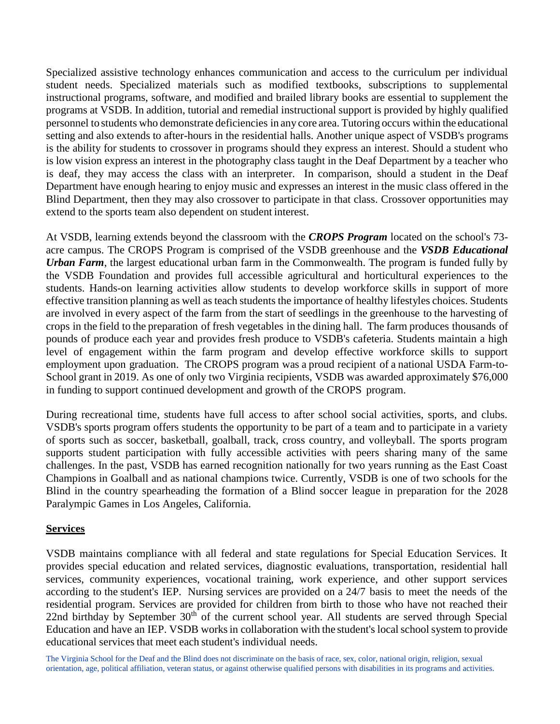Specialized assistive technology enhances communication and access to the curriculum per individual student needs. Specialized materials such as modified textbooks, subscriptions to supplemental instructional programs, software, and modified and brailed library books are essential to supplement the programs at VSDB. In addition, tutorial and remedial instructional support is provided by highly qualified personnel to students who demonstrate deficiencies in any core area. Tutoring occurs within the educational setting and also extends to after-hours in the residential halls. Another unique aspect of VSDB's programs is the ability for students to crossover in programs should they express an interest. Should a student who is low vision express an interest in the photography class taught in the Deaf Department by a teacher who is deaf, they may access the class with an interpreter. In comparison, should a student in the Deaf Department have enough hearing to enjoy music and expresses an interest in the music class offered in the Blind Department, then they may also crossover to participate in that class. Crossover opportunities may extend to the sports team also dependent on student interest.

At VSDB, learning extends beyond the classroom with the *CROPS Program* located on the school's 73 acre campus. The CROPS Program is comprised of the VSDB greenhouse and the *VSDB Educational Urban Farm*, the largest educational urban farm in the Commonwealth. The program is funded fully by the VSDB Foundation and provides full accessible agricultural and horticultural experiences to the students. Hands-on learning activities allow students to develop workforce skills in support of more effective transition planning as well as teach students the importance of healthy lifestyles choices. Students are involved in every aspect of the farm from the start of seedlings in the greenhouse to the harvesting of crops in the field to the preparation of fresh vegetables in the dining hall. The farm produces thousands of pounds of produce each year and provides fresh produce to VSDB's cafeteria. Students maintain a high level of engagement within the farm program and develop effective workforce skills to support employment upon graduation. The CROPS program was a proud recipient of a national USDA Farm-to-School grant in 2019. As one of only two Virginia recipients, VSDB was awarded approximately \$76,000 in funding to support continued development and growth of the CROPS program.

During recreational time, students have full access to after school social activities, sports, and clubs. VSDB's sports program offers students the opportunity to be part of a team and to participate in a variety of sports such as soccer, basketball, goalball, track, cross country, and volleyball. The sports program supports student participation with fully accessible activities with peers sharing many of the same challenges. In the past, VSDB has earned recognition nationally for two years running as the East Coast Champions in Goalball and as national champions twice. Currently, VSDB is one of two schools for the Blind in the country spearheading the formation of a Blind soccer league in preparation for the 2028 Paralympic Games in Los Angeles, California.

#### **Services**

VSDB maintains compliance with all federal and state regulations for Special Education Services. It provides special education and related services, diagnostic evaluations, transportation, residential hall services, community experiences, vocational training, work experience, and other support services according to the student's IEP. Nursing services are provided on a 24/7 basis to meet the needs of the residential program. Services are provided for children from birth to those who have not reached their 22nd birthday by September 30<sup>th</sup> of the current school year. All students are served through Special Education and have an IEP. VSDB works in collaboration with the student's local school system to provide educational services that meet each student's individual needs.